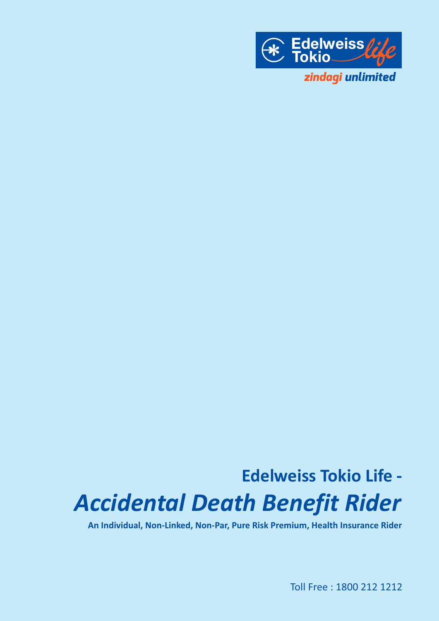

# **Edelweiss Tokio Life -** *Accidental Death Benefit Rider*

**An Individual, Non-Linked, Non-Par, Pure Risk Premium, Health Insurance Rider**

Toll Free : 1800 212 1212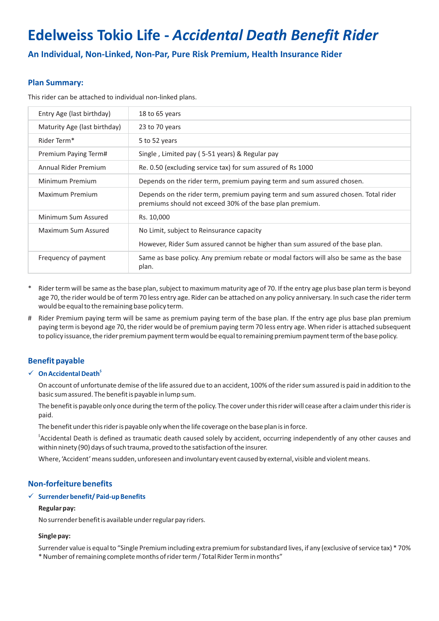# **Edelweiss Tokio Life -** *Accidental Death Benefit Rider*

**An Individual, Non-Linked, Non-Par, Pure Risk Premium, Health Insurance Rider**

# **Plan Summary:**

This rider can be attached to individual non-linked plans.

| Entry Age (last birthday)    | 18 to 65 years                                                                                                                                 |
|------------------------------|------------------------------------------------------------------------------------------------------------------------------------------------|
| Maturity Age (last birthday) | 23 to 70 years                                                                                                                                 |
| Rider Term*                  | 5 to 52 years                                                                                                                                  |
| Premium Paying Term#         | Single, Limited pay (5-51 years) & Regular pay                                                                                                 |
| Annual Rider Premium         | Re. 0.50 (excluding service tax) for sum assured of Rs 1000                                                                                    |
| Minimum Premium              | Depends on the rider term, premium paying term and sum assured chosen.                                                                         |
| Maximum Premium              | Depends on the rider term, premium paying term and sum assured chosen. Total rider<br>premiums should not exceed 30% of the base plan premium. |
| Minimum Sum Assured          | Rs. 10,000                                                                                                                                     |
| Maximum Sum Assured          | No Limit, subject to Reinsurance capacity                                                                                                      |
|                              | However, Rider Sum assured cannot be higher than sum assured of the base plan.                                                                 |
| Frequency of payment         | Same as base policy. Any premium rebate or modal factors will also be same as the base<br>plan.                                                |

- Rider term will be same as the base plan, subject to maximum maturity age of 70. If the entry age plus base plan term is beyond age 70, the rider would be of term 70 less entry age. Rider can be attached on any policy anniversary. In such case the rider term would be equal to the remaining base policy term.
- # Rider Premium paying term will be same as premium paying term of the base plan. If the entry age plus base plan premium paying term is beyond age 70, the rider would be of premium paying term 70 less entry age. When rider is attached subsequent to policy issuance, the rider premium payment term would be equal to remaining premium payment term of the base policy.

# **Benefit payable**

#### **\$** ü **On Accidental Death**

On account of unfortunate demise of the life assured due to an accident, 100% of the rider sum assured is paid in addition to the basic sum assured. The benefit is payable in lump sum.

The benefit is payable only once during the term of the policy. The cover under this rider will cease after a claim under this rider is paid.

The benefit under this rider is payable only when the life coverage on the base plan is in force.

 ${}^{\circ}$ Accidental Death is defined as traumatic death caused solely by accident, occurring independently of any other causes and within ninety (90) days of such trauma, proved to the satisfaction of the insurer.

Where, 'Accident' means sudden, unforeseen and involuntary event caused by external, visible and violent means.

## **Non-forfeiture benefits**

#### ü **Surrender benefit/ Paid-up Benefits**

#### **Regular pay:**

No surrender benefit is available under regular pay riders.

#### **Single pay:**

Surrender value is equal to "Single Premium including extra premium for substandard lives, if any (exclusive of service tax) \* 70% \* Number of remaining complete months of rider term / Total Rider Term in months"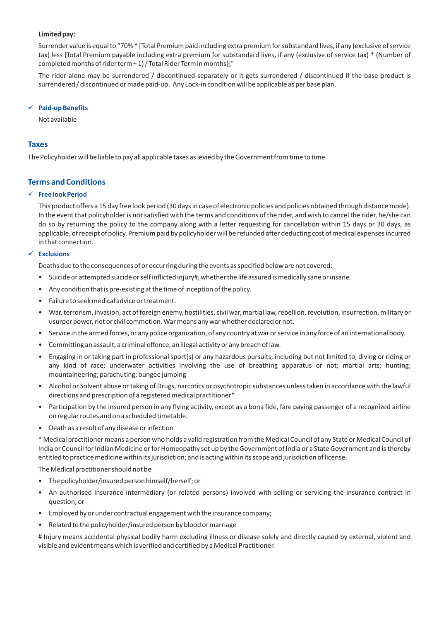#### **Limited pay:**

Surrender value is equal to "70% \* [Total Premium paid including extra premium for substandard lives, if any (exclusive of service tax) less {Total Premium payable including extra premium for substandard lives, if any (exclusive of service tax) \* (Number of completed months of rider term + 1) / Total Rider Term in months}]"

The rider alone may be surrendered / discontinued separately or it gets surrendered / discontinued if the base product is surrendered / discontinued or made paid-up. Any Lock-in condition will be applicable as per base plan.

#### ü **Paid-up Benefits**

Not available

#### **Taxes**

The Policyholder will be liable to pay all applicable taxes as levied by the Government from time to time.

## **Terms and Conditions**

#### ü **Free look Period**

This product offers a 15 day free look period (30 days in case of electronic policies and policies obtained through distance mode). In the event that policyholder is not satisfied with the terms and conditions of the rider, and wish to cancel the rider, he/she can do so by returning the policy to the company along with a letter requesting for cancellation within 15 days or 30 days, as applicable, of receipt of policy. Premium paid by policyholder will be refunded after deducting cost of medical expenses incurred in that connection.

#### ü **Exclusions**

Deaths due to the consequences of or occurring during the events as specified below are not covered:

- Suicide or attempted suicide or self inflicted injury#, whether the life assured is medically sane or insane.
- Any condition that is pre-existing at the time of inception of the policy.
- Failure to seek medical advice or treatment.
- War, terrorism, invasion, act of foreign enemy, hostilities, civil war, martial law, rebellion, revolution, insurrection, military or usurper power, riot or civil commotion. War means any war whether declared or not.
- Service in the armed forces, or any police organization, of any country at war or service in any force of an international body.
- Committing an assault, a criminal offence, an illegal activity or any breach of law.
- Engaging in or taking part in professional sport(s) or any hazardous pursuits, including but not limited to, diving or riding or any kind of race; underwater activities involving the use of breathing apparatus or not; martial arts; hunting; mountaineering; parachuting; bungee jumping
- Alcohol or Solvent abuse or taking of Drugs, narcotics or psychotropic substances unless taken in accordance with the lawful directions and prescription of a registered medical practitioner\*
- Participation by the insured person in any flying activity, except as a bona fide, fare paying passenger of a recognized airline on regular routes and on a scheduled timetable.
- Death as a result of any disease or infection

\* Medical practitioner means a person who holds a valid registration from the Medical Council of any State or Medical Council of India or Council for Indian Medicine or for Homeopathy set up by the Government of India or a State Government and is thereby entitled to practice medicine within its jurisdiction; and is acting within its scope and jurisdiction of license.

The Medical practitioner should not be

- The policyholder/insured person himself/herself; or
- An authorised insurance intermediary (or related persons) involved with selling or servicing the insurance contract in question; or
- Employed by or under contractual engagement with the insurance company;
- Related to the policyholder/insured person by blood or marriage

# Injury means accidental physical bodily harm excluding illness or disease solely and directly caused by external, violent and visible and evident means which is verified and certified by a Medical Practitioner.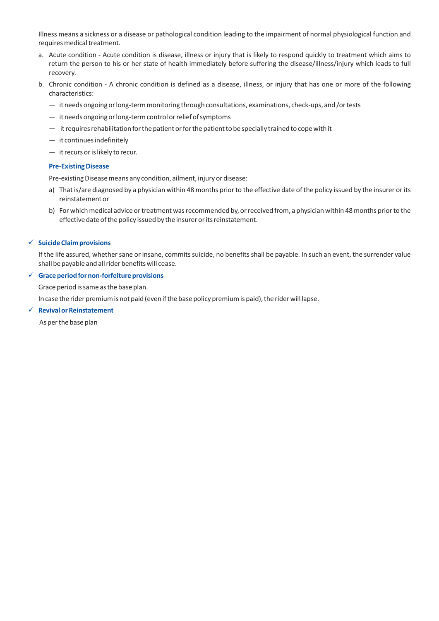Illness means a sickness or a disease or pathological condition leading to the impairment of normal physiological function and requires medical treatment.

- a. Acute condition Acute condition is disease, illness or injury that is likely to respond quickly to treatment which aims to return the person to his or her state of health immediately before suffering the disease/illness/injury which leads to full recovery.
- b. Chronic condition A chronic condition is defined as a disease, illness, or injury that has one or more of the following characteristics:
	- it needs ongoing or long-term monitoring through consultations, examinations, check-ups, and /or tests
	- it needs ongoing or long-term control or relief of symptoms
	- it requires rehabilitation for the patient or for the patient to be specially trained to cope with it
	- it continues indefinitely
	- it recurs or is likely to recur.

#### **Pre-Existing Disease**

Pre-existing Disease means any condition, ailment, injury or disease:

- a) That is/are diagnosed by a physician within 48 months prior to the effective date of the policy issued by the insurer or its reinstatement or
- b) For which medical advice or treatment was recommended by, or received from, a physician within 48 months prior to the effective date of the policy issued by the insurer or its reinstatement.

#### ü **Suicide Claim provisions**

If the life assured, whether sane or insane, commits suicide, no benefits shall be payable. In such an event, the surrender value shall be payable and all rider benefits will cease.

#### ü **Grace period for non-forfeiture provisions**

Grace period is same as the base plan.

In case the rider premium is not paid (even if the base policy premium is paid), the rider will lapse.

#### ü **Revival or Reinstatement**

As per the base plan